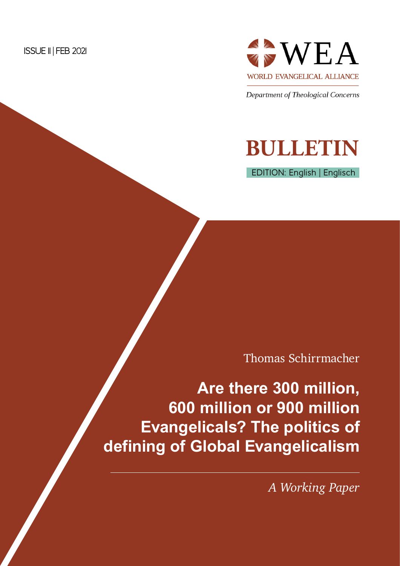

Department of Theological Concerns

# **BULLETIN**

EDITION: English | Englisch

Thomas Schirrmacher

**Are there 300 million, 600 million or 900 million Evangelicals? The politics of defining of Global Evangelicalism**

*A Working Paper*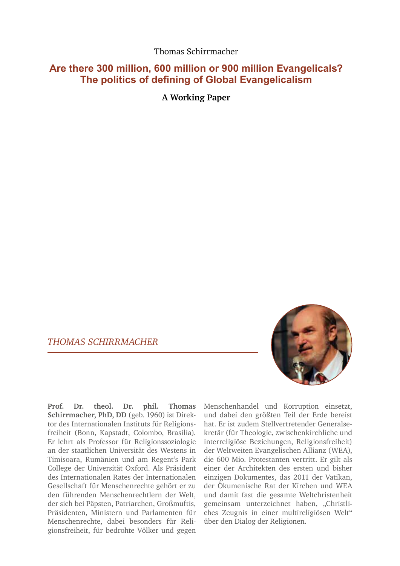Thomas Schirrmacher

# **Are there 300 million, 600 million or 900 million Evangelicals? The politics of defining of Global Evangelicalism**

**A Working Paper**

# *THOMAS SCHIRRMACHER*



**Prof. Dr. theol. Dr. phil. Thomas Schirrmacher, PhD, DD** (geb. 1960) ist Direktor des Internationalen Instituts für Religionsfreiheit (Bonn, Kapstadt, Colombo, Brasilia). Er lehrt als Professor für Religionssoziologie an der staatlichen Universität des Westens in Timisoara, Rumänien und am Regent's Park College der Universität Oxford. Als Präsident des Internationalen Rates der Internationalen Gesellschaft für Menschenrechte gehört er zu den führenden Menschenrechtlern der Welt, der sich bei Päpsten, Patriarchen, Großmuftis, Präsidenten, Ministern und Parlamenten für Menschenrechte, dabei besonders für Religionsfreiheit, für bedrohte Völker und gegen

Menschenhandel und Korruption einsetzt, und dabei den größten Teil der Erde bereist hat. Er ist zudem Stellvertretender Generalsekretär (für Theologie, zwischenkirchliche und interreligiöse Beziehungen, Religionsfreiheit) der Weltweiten Evangelischen Allianz (WEA), die 600 Mio. Protestanten vertritt. Er gilt als einer der Architekten des ersten und bisher einzigen Dokumentes, das 2011 der Vatikan, der Ökumenische Rat der Kirchen und WEA und damit fast die gesamte Weltchristenheit gemeinsam unterzeichnet haben, "Christliches Zeugnis in einer multireligiösen Welt" über den Dialog der Religionen.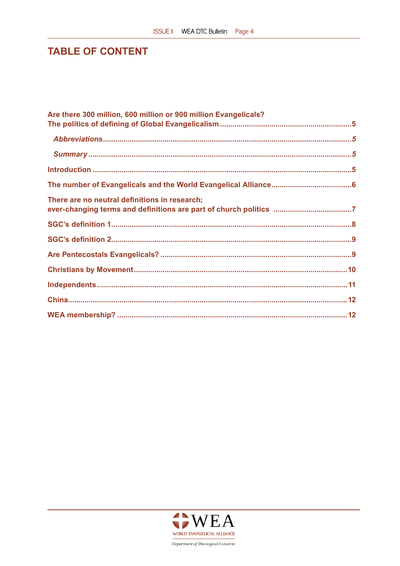# **TABLE OF CONTENT**

| Are there 300 million, 600 million or 900 million Evangelicals? |  |
|-----------------------------------------------------------------|--|
|                                                                 |  |
|                                                                 |  |
|                                                                 |  |
|                                                                 |  |
|                                                                 |  |
| There are no neutral definitions in research;                   |  |
|                                                                 |  |
|                                                                 |  |
|                                                                 |  |
|                                                                 |  |
|                                                                 |  |
|                                                                 |  |
|                                                                 |  |

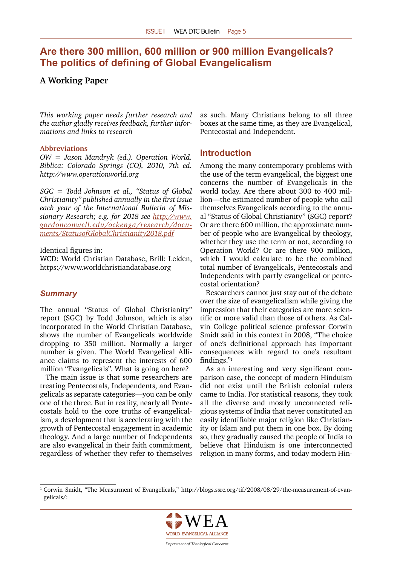# <span id="page-4-0"></span>**Are there 300 million, 600 million or 900 million Evangelicals? The politics of defining of Global Evangelicalism**

## **A Working Paper**

*This working paper needs further research and the author gladly receives feedback, further informations and links to research*

#### **Abbreviations**

*OW = Jason Mandryk (ed.). Operation World. Biblica: Colorado Springs (CO), 2010, 7th ed. http://www.operationworld.org*

*SGC = Todd Johnson et al., "Status of Global Christianity" published annually in the first issue each year of the International Bulletin of Missionary Research; e.g. for 2018 see [http://www.](http://www.gordonconwell.edu/ockenga/research/documents/StatusofGlobalChristianity2018.pdf) [gordonconwell.edu/ockenga/research/docu](http://www.gordonconwell.edu/ockenga/research/documents/StatusofGlobalChristianity2018.pdf)[ments/StatusofGlobalChristianity2018.pdf](http://www.gordonconwell.edu/ockenga/research/documents/StatusofGlobalChristianity2018.pdf)*

Identical figures in:

WCD: World Christian Database, Brill: Leiden, https://www.worldchristiandatabase.org

#### *Summary*

The annual "Status of Global Christianity" report (SGC) by Todd Johnson, which is also incorporated in the World Christian Database, shows the number of Evangelicals worldwide dropping to 350 million. Normally a larger number is given. The World Evangelical Alliance claims to represent the interests of 600 million "Evangelicals". What is going on here?

The main issue is that some researchers are treating Pentecostals, Independents, and Evangelicals as separate categories—you can be only one of the three. But in reality, nearly all Pentecostals hold to the core truths of evangelicalism, a development that is accelerating with the growth of Pentecostal engagement in academic theology. And a large number of Independents are also evangelical in their faith commitment, regardless of whether they refer to themselves

as such. Many Christians belong to all three boxes at the same time, as they are Evangelical, Pentecostal and Independent.

#### **Introduction**

Among the many contemporary problems with the use of the term evangelical, the biggest one concerns the number of Evangelicals in the world today. Are there about 300 to 400 million—the estimated number of people who call themselves Evangelicals according to the annual "Status of Global Christianity" (SGC) report? Or are there 600 million, the approximate number of people who are Evangelical by theology, whether they use the term or not, according to Operation World? Or are there 900 million, which I would calculate to be the combined total number of Evangelicals, Pentecostals and Independents with partly evangelical or pentecostal orientation?

Researchers cannot just stay out of the debate over the size of evangelicalism while giving the impression that their categories are more scientific or more valid than those of others. As Calvin College political science professor Corwin Smidt said in this context in 2008, "The choice of one's definitional approach has important consequences with regard to one's resultant findings."<sup>1</sup>

As an interesting and very significant comparison case, the concept of modern Hinduism did not exist until the British colonial rulers came to India. For statistical reasons, they took all the diverse and mostly unconnected religious systems of India that never constituted an easily identifiable major religion like Christianity or Islam and put them in one box. By doing so, they gradually caused the people of India to believe that Hinduism is one interconnected religion in many forms, and today modern Hin-

<sup>&</sup>lt;sup>1</sup> Corwin Smidt, "The Measurment of Evangelicals," http://blogs.ssrc.org/tif/2008/08/29/the-measurement-of-evangelicals/:

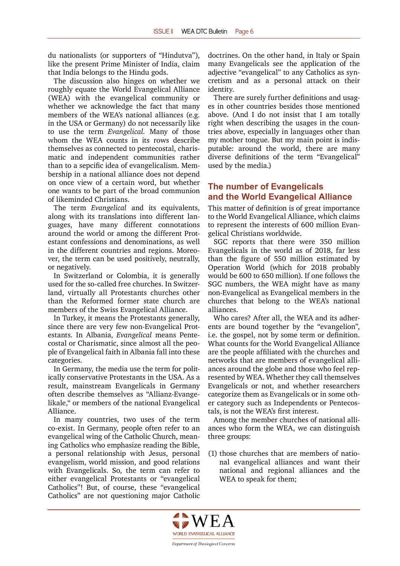<span id="page-5-0"></span>du nationalists (or supporters of "Hindutva"), like the present Prime Minister of India, claim that India belongs to the Hindu gods.

The discussion also hinges on whether we roughly equate the World Evangelical Alliance (WEA) with the evangelical community or whether we acknowledge the fact that many members of the WEA's national alliances (e.g. in the USA or Germany) do not necessarily like to use the term *Evangelical.* Many of those whom the WEA counts in its rows describe themselves as connected to pentecostal, charismatic and independent communities rather than to a sepcific idea of evangelicalism. Membership in a national alliance does not depend on once view of a certain word, but whether one wants to be part of the broad communion of likeminded Christians.

The term *Evangelical* and its equivalents, along with its translations into different languages, have many different connotations around the world or among the different Protestant confessions and denominations, as well in the different countries and regions. Moreover, the term can be used positively, neutrally, or negatively.

In Switzerland or Colombia, it is generally used for the so-called free churches. In Switzerland, virtually all Protestants churches other than the Reformed former state church are members of the Swiss Evangelical Alliance.

In Turkey, it means the Protestants generally, since there are very few non-Evangelical Protestants. In Albania, *Evangelical* means Pentecostal or Charismatic, since almost all the people of Evangelical faith in Albania fall into these categories.

In Germany, the media use the term for politically conservative Protestants in the USA. As a result, mainstream Evangelicals in Germany often describe themselves as "Allianz-Evangelikale," or members of the national Evangelical Alliance.

In many countries, two uses of the term co-exist. In Germany, people often refer to an evangelical wing of the Catholic Church, meaning Catholics who emphasize reading the Bible, a personal relationship with Jesus, personal evangelism, world mission, and good relations with Evangelicals. So, the term can refer to either evangelical Protestants or "evangelical Catholics"! But, of course, these "evangelical Catholics" are not questioning major Catholic

doctrines. On the other hand, in Italy or Spain many Evangelicals see the application of the adjective "evangelical" to any Catholics as syncretism and as a personal attack on their identity.

There are surely further definitions and usages in other countries besides those mentioned above. (And I do not insist that I am totally right when describing the usages in the countries above, especially in languages other than my mother tongue. But my main point is indisputable: around the world, there are many diverse definitions of the term "Evangelical" used by the media.)

# **The number of Evangelicals and the World Evangelical Alliance**

This matter of definition is of great importance to the World Evangelical Alliance, which claims to represent the interests of 600 million Evangelical Christians worldwide.

SGC reports that there were 350 million Evangelicals in the world as of 2018, far less than the figure of 550 million estimated by Operation World (which for 2018 probably would be 600 to 650 million). If one follows the SGC numbers, the WEA might have as many non-Evangelical as Evangelical members in the churches that belong to the WEA's national alliances.

Who cares? After all, the WEA and its adherents are bound together by the "evangelion", i.e. the gospel, not by some term or definition. What counts for the World Evangelical Alliance are the people affiliated with the churches and networks that are members of evangelical alliances around the globe and those who feel represented by WEA. Whether they call themselves Evangelicals or not, and whether researchers categorize them as Evangelicals or in some other category such as Independents or Pentecostals, is not the WEA's first interest.

Among the member churches of national alliances who form the WEA, we can distinguish three groups:

(1) those churches that are members of national evangelical alliances and want their national and regional alliances and the WEA to speak for them;

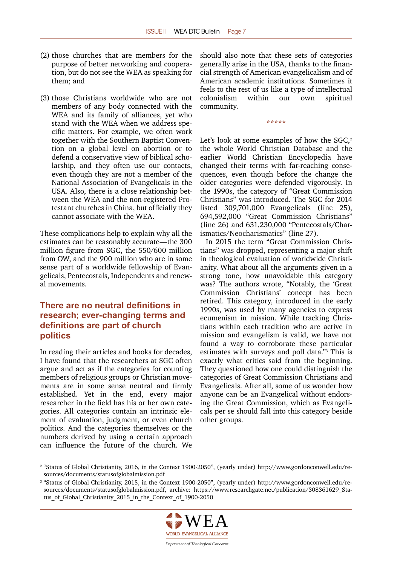- <span id="page-6-0"></span>(2) those churches that are members for the purpose of better networking and cooperation, but do not see the WEA as speaking for them; and
- (3) those Christians worldwide who are not members of any body connected with the WEA and its family of alliances, yet who stand with the WEA when we address specific matters. For example, we often work together with the Southern Baptist Convention on a global level on abortion or to defend a conservative view of biblical scholarship, and they often use our contacts, even though they are not a member of the National Association of Evangelicals in the USA. Also, there is a close relationship between the WEA and the non-registered Protestant churches in China, but officially they cannot associate with the WEA.

These complications help to explain why all the estimates can be reasonably accurate—the 300 million figure from SGC, the 550/600 million from OW, and the 900 million who are in some sense part of a worldwide fellowship of Evangelicals, Pentecostals, Independents and renewal movements.

# **There are no neutral definitions in research; ever-changing terms and definitions are part of church politics**

In reading their articles and books for decades, I have found that the researchers at SGC often argue and act as if the categories for counting members of religious groups or Christian movements are in some sense neutral and firmly established. Yet in the end, every major researcher in the field has his or her own categories. All categories contain an intrinsic element of evaluation, judgment, or even church politics. And the categories themselves or the numbers derived by using a certain approach can influence the future of the church. We should also note that these sets of categories generally arise in the USA, thanks to the financial strength of American evangelicalism and of American academic institutions. Sometimes it feels to the rest of us like a type of intellectual colonialism within our own spiritual community.

\*\*\*\*\*

Let's look at some examples of how the  $SGC<sub>2</sub>$ the whole World Christian Database and the earlier World Christian Encyclopedia have changed their terms with far-reaching consequences, even though before the change the older categories were defended vigorously. In the 1990s, the category of "Great Commission Christians" was introduced. The SGC for 2014 listed 309,701,000 Evangelicals (line 25), 694,592,000 "Great Commission Christians" (line 26) and 631,230,000 "Pentecostals/Charismatics/Neocharismatics" (line 27).

In 2015 the term "Great Commission Christians" was dropped, representing a major shift in theological evaluation of worldwide Christianity. What about all the arguments given in a strong tone, how unavoidable this category was? The authors wrote, "Notably, the 'Great Commission Christians' concept has been retired. This category, introduced in the early 1990s, was used by many agencies to express ecumenism in mission. While tracking Christians within each tradition who are active in mission and evangelism is valid, we have not found a way to corroborate these particular estimates with surveys and poll data."3 This is exactly what critics said from the beginning. They questioned how one could distinguish the categories of Great Commission Christians and Evangelicals. After all, some of us wonder how anyone can be an Evangelical without endorsing the Great Commission, which as Evangelicals per se should fall into this category beside other groups.

<sup>&</sup>lt;sup>3</sup> "Status of Global Christianity, 2015, in the Context 1900-2050", (yearly under) http://www.gordonconwell.edu/resources/documents/statusofglobalmission.pdf, archive: https://www.researchgate.net/publication/308361629\_Status of Global Christianity 2015 in the Context of 1900-2050



<sup>&</sup>lt;sup>2</sup> "Status of Global Christianity, 2016, in the Context 1900-2050", (yearly under) http://www.gordonconwell.edu/resources/documents/statusofglobalmission.pdf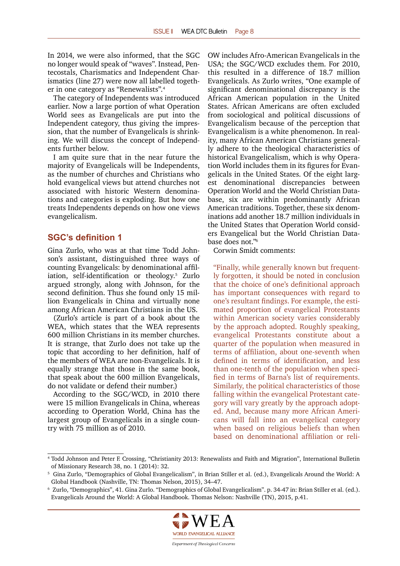<span id="page-7-0"></span>In 2014, we were also informed, that the SGC no longer would speak of "waves". Instead, Pentecostals, Charismatics and Independent Charismatics (line 27) were now all labelled together in one category as "Renewalists".4

The category of Independents was introduced earlier. Now a large portion of what Operation World sees as Evangelicals are put into the Independent category, thus giving the impression, that the number of Evangelicals is shrinking. We will discuss the concept of Independents further below.

I am quite sure that in the near future the majority of Evangelicals will be Independents, as the number of churches and Christians who hold evangelical views but attend churches not associated with historic Western denominations and categories is exploding. But how one treats Independents depends on how one views evangelicalism.

#### **SGC's definition 1**

Gina Zurlo, who was at that time Todd Johnson's assistant, distinguished three ways of counting Evangelicals: by denominational affiliation, self-identification or theology.<sup>5</sup> Zurlo argued strongly, along with Johnson, for the second definition. Thus she found only 15 million Evangelicals in China and virtually none among African American Christians in the US.

(Zurlo's article is part of a book about the WEA, which states that the WEA represents 600 million Christians in its member churches. It is strange, that Zurlo does not take up the topic that according to her definition, half of the members of WEA are non-Evangelicals. It is equally strange that those in the same book, that speak about the 600 million Evangelicals, do not validate or defend their number.)

According to the SGC/WCD, in 2010 there were 15 million Evangelicals in China, whereas according to Operation World, China has the largest group of Evangelicals in a single country with 75 million as of 2010.

OW includes Afro-American Evangelicals in the USA; the SGC/WCD excludes them. For 2010, this resulted in a difference of 18.7 million Evangelicals. As Zurlo writes, "One example of significant denominational discrepancy is the African American population in the United States. African Americans are often excluded from sociological and political discussions of Evangelicalism because of the perception that Evangelicalism is a white phenomenon. In reality, many African American Christians generally adhere to the theological characteristics of historical Evangelicalism, which is why Operation World includes them in its figures for Evangelicals in the United States. Of the eight largest denominational discrepancies between Operation World and the World Christian Database, six are within predominantly African American traditions. Together, these six denominations add another 18.7 million individuals in the United States that Operation World considers Evangelical but the World Christian Database does not."6

Corwin Smidt comments:

"Finally, while generally known but frequently forgotten, it should be noted in conclusion that the choice of one's definitional approach has important consequences with regard to one's resultant findings. For example, the estimated proportion of evangelical Protestants within American society varies considerably by the approach adopted. Roughly speaking, evangelical Protestants constitute about a quarter of the population when measured in terms of affiliation, about one-seventh when defined in terms of identification, and less than one-tenth of the population when specified in terms of Barna's list of requirements. Similarly, the political characteristics of those falling within the evangelical Protestant category will vary greatly by the approach adopted. And, because many more African Americans will fall into an evangelical category when based on religious beliefs than when based on denominational affiliation or reli-

<sup>6</sup> Zurlo, "Demographics", 41. Gina Zurlo. "Demographics of Global Evangelicalism". p. 34-47 in: Brian Stiller et al. (ed.). Evangelicals Around the World: A Global Handbook. Thomas Nelson: Nashville (TN), 2015, p.41.



<sup>4</sup> Todd Johnson and Peter F. Crossing, "Christianity 2013: Renewalists and Faith and Migration", International Bulletin of Missionary Research 38, no. 1 (2014): 32.

<sup>5</sup> Gina Zurlo, "Demographics of Global Evangelicalism", in Brian Stiller et al. (ed.), Evangelicals Around the World: A Global Handbook (Nashville, TN: Thomas Nelson, 2015), 34–47.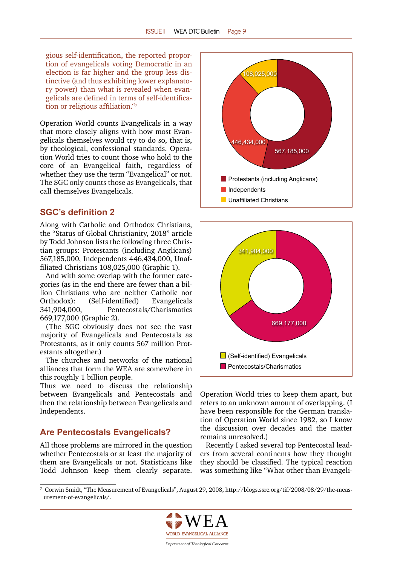<span id="page-8-0"></span>gious self-identification, the reported proportion of evangelicals voting Democratic in an election is far higher and the group less distinctive (and thus exhibiting lower explanatory power) than what is revealed when evangelicals are defined in terms of self-identification or religious affiliation."<sup>7</sup>

Operation World counts Evangelicals in a way that more closely aligns with how most Evangelicals themselves would try to do so, that is, by theological, confessional standards. Operation World tries to count those who hold to the core of an Evangelical faith, regardless of whether they use the term "Evangelical" or not. The SGC only counts those as Evangelicals, that call themselves Evangelicals.

## **SGC's definition 2**

Along with Catholic and Orthodox Christians, the "Status of Global Christianity, 2018" article by Todd Johnson lists the following three Christian groups: Protestants (including Anglicans) 567,185,000, Independents 446,434,000, Unaffiliated Christians 108,025,000 (Graphic 1).

And with some overlap with the former categories (as in the end there are fewer than a billion Christians who are neither Catholic nor Orthodox): (Self-identified) Evangelicals 341,904,000, Pentecostals/Charismatics 669,177,000 (Graphic 2).

(The SGC obviously does not see the vast majority of Evangelicals and Pentecostals as Protestants, as it only counts 567 million Protestants altogether.)

The churches and networks of the national alliances that form the WEA are somewhere in this roughly 1 billion people.

Thus we need to discuss the relationship between Evangelicals and Pentecostals and then the relationship between Evangelicals and Independents.

# **Are Pentecostals Evangelicals?**

All those problems are mirrored in the question whether Pentecostals or at least the majority of them are Evangelicals or not. Statisticans like Todd Johnson keep them clearly separate.





Operation World tries to keep them apart, but refers to an unknown amount of overlapping. (I have been responsible for the German translation of Operation World since 1982, so I know the discussion over decades and the matter remains unresolved.)

Recently I asked several top Pentecostal leaders from several continents how they thought they should be classified. The typical reaction was something like "What other than Evangeli-

<sup>7</sup> Corwin Smidt, "The Measurement of Evangelicals", August 29, 2008, http://blogs.ssrc.org/tif/2008/08/29/the-measurement-of-evangelicals/.

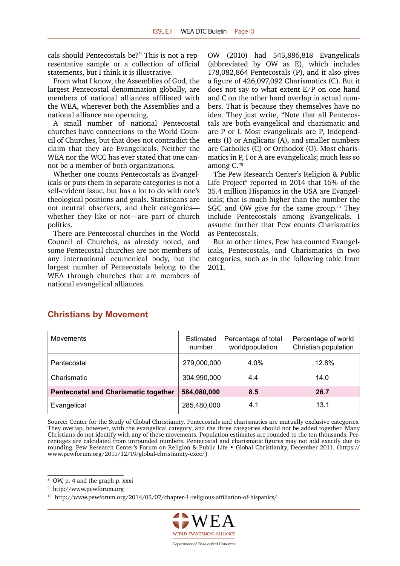<span id="page-9-0"></span>cals should Pentecostals be?" This is not a representative sample or a collection of official statements, but I think it is illustrative.

From what I know, the Assemblies of God, the largest Pentecostal denomination globally, are members of national alliances affiliated with the WEA, wherever both the Assemblies and a national alliance are operating.

A small number of national Pentecostal churches have connections to the World Council of Churches, but that does not contradict the claim that they are Evangelicals. Neither the WEA nor the WCC has ever stated that one cannot be a member of both organizations.

Whether one counts Pentecostals as Evangelicals or puts them in separate categories is not a self-evident issue, but has a lot to do with one's theological positions and goals. Statisticans are not neutral observers, and their categories whether they like or not—are part of church politics.

There are Pentecostal churches in the World Council of Churches, as already noted, and some Pentecostal churches are not members of any international ecumenical body, but the largest number of Pentecostals belong to the WEA through churches that are members of national evangelical alliances.

OW (2010) had 545,886,818 Evangelicals (abbreviated by OW as E), which includes 178,082,864 Pentecostals (P), and it also gives a figure of 426,097,092 Charismatics (C). But it does not say to what extent E/P on one hand and C on the other hand overlap in actual numbers. That is because they themselves have no idea. They just write, "Note that all Pentecostals are both evangelical and charismatic and are P or I. Most evangelicals are P, Independents (I) or Anglicans (A), and smaller numbers are Catholics (C) or Orthodox (O). Most charismatics in P, I or A are evangelicals; much less so among C."<sup>8</sup>

The Pew Research Center's Religion & Public Life Project<sup>9</sup> reported in 2014 that 16% of the 35.4 million Hispanics in the USA are Evangelicals; that is much higher than the number the SGC and OW give for the same group.<sup>10</sup> They include Pentecostals among Evangelicals. I assume further that Pew counts Charismatics as Pentecostals.

But at other times, Pew has counted Evangelicals, Pentecostals, and Charismatics in two categories, such as in the following table from 2011.

# **Christians by Movement**

| <b>Movements</b>                            | Estimated<br>number | Percentage of total<br>worldpopulation | Percentage of world<br>Christian population |
|---------------------------------------------|---------------------|----------------------------------------|---------------------------------------------|
| Pentecostal                                 | 279,000,000         | 4.0%                                   | 12.8%                                       |
| Charismatic                                 | 304,990,000         | 4.4                                    | 14.0                                        |
| <b>Pentecostal and Charismatic together</b> | 584,080,000         | 8.5                                    | 26.7                                        |
| Evangelical                                 | 285,480,000         | 4.1                                    | 13.1                                        |

Source: Center for the Study of Global Christianity. Pentecostals and charismatics are mutually exclusive categories. They overlap, however, with the evangelical category, and the three categories should not be added together. Many Christians do not identify with any of these movements. Population estimates are rounded to the ten thousands. Percentages are calculated from unrounded numbers. Pentecostal and charismatic figures may not add exactly due to rounding. Pew Research Center's Forum on Religion & Public Life • Global Christianity, December 2011. (https:// www.pewforum.org/2011/12/19/global-christianity-exec/)

<sup>&</sup>lt;sup>10</sup> <http://www.pewforum.org/2014/05/07/chapter-1-religious-affiliation-of-hispanics/>



<sup>8</sup> OW, p. 4 and the graph p. xxxi

<sup>9</sup> http://www.pewforum.org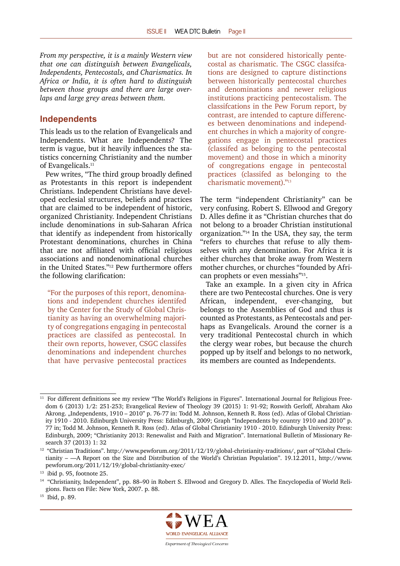<span id="page-10-0"></span>*From my perspective, it is a mainly Western view that one can distinguish between Evangelicals, Independents, Pentecostals, and Charismatics. In Africa or India, it is often hard to distinguish between those groups and there are large overlaps and large grey areas between them.*

#### **Independents**

This leads us to the relation of Evangelicals and Independents. What are Independents? The term is vague, but it heavily influences the statistics concerning Christianity and the number of Evangelicals.<sup>11</sup>

Pew writes, "The third group broadly defined as Protestants in this report is independent Christians. Independent Christians have developed ecclesial structures, beliefs and practices that are claimed to be independent of historic, organized Christianity. Independent Christians include denominations in sub-Saharan Africa that identify as independent from historically Protestant denominations, churches in China that are not affiliated with official religious associations and nondenominational churches in the United States."12 Pew furthermore offers the following clarification:

"For the purposes of this report, denominations and independent churches identifed by the Center for the Study of Global Christianity as having an overwhelming majority of congregations engaging in pentecostal practices are classifed as pentecostal. In their own reports, however, CSGC classifes denominations and independent churches that have pervasive pentecostal practices but are not considered historically pentecostal as charismatic. The CSGC classifcations are designed to capture distinctions between historically pentecostal churches and denominations and newer religious institutions practicing pentecostalism. The classifcations in the Pew Forum report, by contrast, are intended to capture differences between denominations and independent churches in which a majority of congregations engage in pentecostal practices (classifed as belonging to the pentecostal movement) and those in which a minority of congregations engage in pentecostal practices (classifed as belonging to the charismatic movement)."<sup>13</sup>

The term "independent Christianity" can be very confusing. Robert S. Ellwood and Gregory D. Alles define it as "Christian churches that do not belong to a broader Christian institutional organization."14 In the USA, they say, the term "refers to churches that refuse to ally themselves with any denomination. For Africa it is either churches that broke away from Western mother churches, or churches "founded by African prophets or even messiahs"15.

Take an example. In a given city in Africa there are two Pentecostal churches. One is very African, independent, ever-changing, but belongs to the Assemblies of God and thus is counted as Protestants, as Pentecostals and perhaps as Evangelicals. Around the corner is a very traditional Pentecostal church in which the clergy wear robes, but because the church popped up by itself and belongs to no network, its members are counted as Independents.



<sup>11</sup> For different definitions see my review "The World's Religions in Figures". International Journal for Religious Freedom 6 (2013) 1/2: 251-253; Evangelical Review of Theology 39 (2015) 1: 91-92; Roswith Gerloff, Abraham Ako Akrong. "Independents, 1910 – 2010" p. 76-77 in: Todd M. Johnson, Kenneth R. Ross (ed). Atlas of Global Christianity 1910 - 2010. Edinburgh University Press: Edinburgh, 2009; Graph "Independents by country 1910 and 2010" p. 77 in; Todd M. Johnson, Kenneth R. Ross (ed). Atlas of Global Christianity 1910 - 2010. Edinburgh University Press: Edinburgh, 2009; "Christianity 2013: Renewalist and Faith and Migration". International Bulletin of Missionary Research 37 (2013) 1: 32

<sup>&</sup>lt;sup>12</sup> "Christian Traditions". http://www.pewforum.org/2011/12/19/global-christianity-traditions/, part of "Global Christianity – —A Report on the Size and Distribution of the World's Christian Population". 19.12.2011, http://www. pewforum.org/2011/12/19/global-christianity-exec/

<sup>13</sup> ibid p. 95, footnote 25.

<sup>14</sup> "Christianity, Independent", pp. 88–90 in Robert S. Ellwood and Gregory D. Alles. The Encyclopedia of World Religions. Facts on File: New York, 2007. p. 88.

<sup>15</sup> Ibid, p. 89.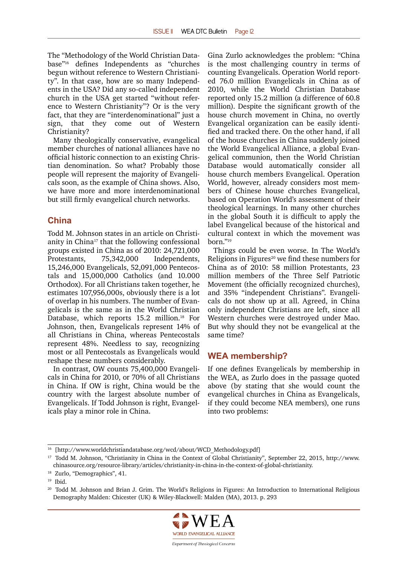<span id="page-11-0"></span>The "Methodology of the World Christian Database"16 defines Independents as "churches begun without reference to Western Christianity". In that case, how are so many Independents in the USA? Did any so-called independent church in the USA get started "without reference to Western Christianity"? Or is the very fact, that they are "interdenominational" just a sign, that they come out of Western Christianity?

Many theologically conservative, evangelical member churches of national alliances have no official historic connection to an existing Christian denomination. So what? Probably those people will represent the majority of Evangelicals soon, as the example of China shows. Also, we have more and more interdenominational but still firmly evangelical church networks.

#### **China**

Todd M. Johnson states in an article on Christianity in China17 that the following confessional groups existed in China as of 2010: 24,721,000 Protestants, 75,342,000 Independents, 15,246,000 Evangelicals, 52,091,000 Pentecostals and 15,000,000 Catholics (and 10.000 Orthodox). For all Christians taken together, he estimates 107,956,000s, obviously there is a lot of overlap in his numbers. The number of Evangelicals is the same as in the World Christian Database, which reports 15.2 million.<sup>18</sup> For Johnson, then, Evangelicals represent 14% of all Christians in China, whereas Pentecostals represent 48%. Needless to say, recognizing most or all Pentecostals as Evangelicals would reshape these numbers considerably.

In contrast, OW counts 75,400,000 Evangelicals in China for 2010, or 70% of all Christians in China. If OW is right, China would be the country with the largest absolute number of Evangelicals. If Todd Johnson is right, Evangelicals play a minor role in China.

Gina Zurlo acknowledges the problem: "China is the most challenging country in terms of counting Evangelicals. Operation World reported 76.0 million Evangelicals in China as of 2010, while the World Christian Database reported only 15.2 million (a difference of 60.8 million). Despite the significant growth of the house church movement in China, no overtly Evangelical organization can be easily identified and tracked there. On the other hand, if all of the house churches in China suddenly joined the World Evangelical Alliance, a global Evangelical communion, then the World Christian Database would automatically consider all house church members Evangelical. Operation World, however, already considers most members of Chinese house churches Evangelical, based on Operation World's assessment of their theological learnings. In many other churches in the global South it is difficult to apply the label Evangelical because of the historical and cultural context in which the movement was born."19

Things could be even worse. In The World's Religions in Figures<sup>20</sup> we find these numbers for China as of 2010: 58 million Protestants, 23 million members of the Three Self Patriotic Movement (the officially recognized churches), and 35% "independent Christians". Evangelicals do not show up at all. Agreed, in China only independent Christians are left, since all Western churches were destroyed under Mao. But why should they not be evangelical at the same time?

# **WEA membership?**

If one defines Evangelicals by membership in the WEA, as Zurlo does in the passage quoted above (by stating that she would count the evangelical churches in China as Evangelicals, if they could become NEA members), one runs into two problems:

<sup>&</sup>lt;sup>20</sup> Todd M. Johnson and Brian J. Grim. The World's Religions in Figures: An Introduction to International Religious Demography Malden: Chicester (UK) & Wiley-Blackwell: Malden (MA), 2013. p. 293



<sup>16</sup> [http://www.worldchristiandatabase.org/wcd/about/WCD\_Methodology.pdf]

<sup>17</sup> Todd M. Johnson, "Christianity in China in the Context of Global Christianity", September 22, 2015, http://www. chinasource.org/resource-library/articles/christianity-in-china-in-the-context-of-global-christianity.

<sup>18</sup> Zurlo, "Demographics", 41.

<sup>19</sup> Ibid.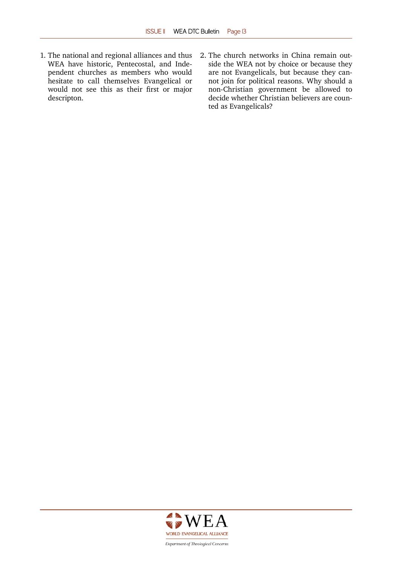- 1. The national and regional alliances and thus WEA have historic, Pentecostal, and Independent churches as members who would hesitate to call themselves Evangelical or would not see this as their first or major descripton.
- 2. The church networks in China remain outside the WEA not by choice or because they are not Evangelicals, but because they cannot join for political reasons. Why should a non-Christian government be allowed to decide whether Christian believers are counted as Evangelicals?



Department of Theological Concerns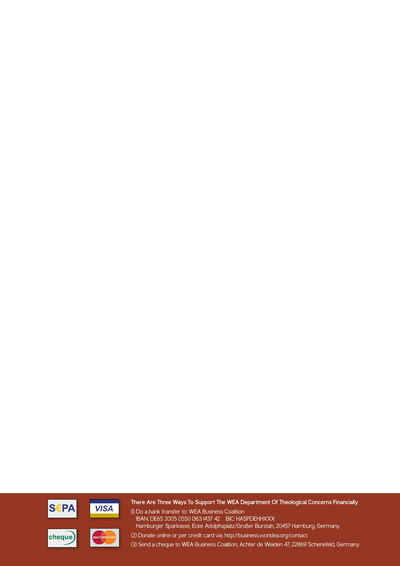



#### **There Are Three Ways To Support The WEA Department Of Theological Concerns Financially**

(1) Do a bank transfer to: WEA Business Coalition IBAN: DE65 2005 0550 1363 1437 42 BIC: HASPDEHHXXX Hamburger Sparkasse, Ecke Adolphsplatz/Großer Burstah, 20457 Hamburg, Germany (2) Donate online or per credit card via: http://business.worldea.org/contact





(3) Send a cheque to WEA Business Coalition, Achter de Weiden 47, 22869 Schenefeld, Germany